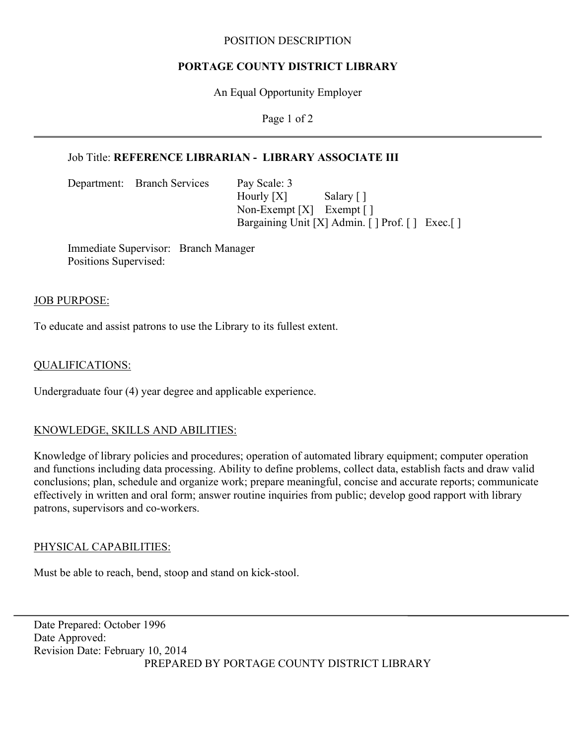### POSITION DESCRIPTION

## **PORTAGE COUNTY DISTRICT LIBRARY**

An Equal Opportunity Employer

Page 1 of 2

# Job Title: **REFERENCE LIBRARIAN - LIBRARY ASSOCIATE III**

Department: Branch Services Pay Scale: 3

Hourly [X] Salary [] Non-Exempt [X] Exempt [] Bargaining Unit [X] Admin. [ ] Prof. [ ] Exec. [ ]

Immediate Supervisor: Branch Manager Positions Supervised:

### JOB PURPOSE:

To educate and assist patrons to use the Library to its fullest extent.

## QUALIFICATIONS:

Undergraduate four (4) year degree and applicable experience.

## KNOWLEDGE, SKILLS AND ABILITIES:

Knowledge of library policies and procedures; operation of automated library equipment; computer operation and functions including data processing. Ability to define problems, collect data, establish facts and draw valid conclusions; plan, schedule and organize work; prepare meaningful, concise and accurate reports; communicate effectively in written and oral form; answer routine inquiries from public; develop good rapport with library patrons, supervisors and co-workers.

#### PHYSICAL CAPABILITIES:

Must be able to reach, bend, stoop and stand on kick-stool.

Date Prepared: October 1996 Date Approved: Revision Date: February 10, 2014 PREPARED BY PORTAGE COUNTY DISTRICT LIBRARY